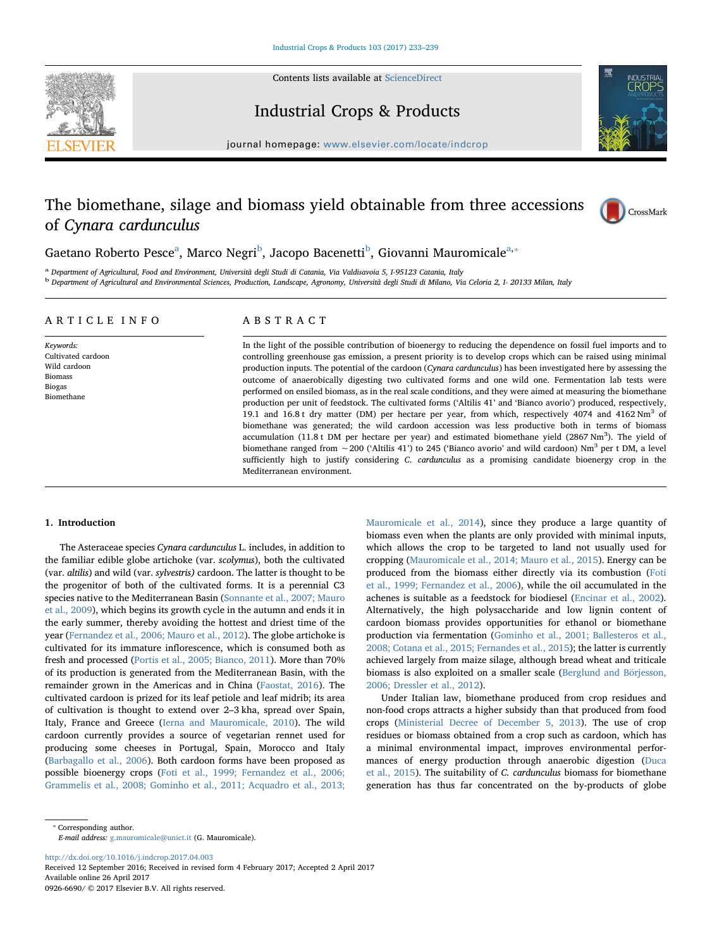Contents lists available at [ScienceDirect](http://www.sciencedirect.com/science/journal/09266690)





# Industrial Crops & Products

journal homepage: [www.elsevier.com/locate/indcrop](http://www.elsevier.com/locate/indcrop)

# The biomethane, silage and biomass yield obtainable from three accessions of Cynara cardunculus



G[a](#page-0-0)etano Ro[b](#page-0-1)erto Pesce<sup>a</sup>, Marco Negri<sup>b</sup>, Jacopo Bacenetti<sup>b</sup>, Giovanni Mauromicale<sup>[a,](#page-0-0)</sup>\*

<span id="page-0-1"></span><span id="page-0-0"></span><sup>a</sup> Department of Agricultural, Food and Environment, Università degli Studi di Catania, Via Valdisavoia 5, I-95123 Catania, Italy <sup>b</sup> Department of Agricultural and Environmental Sciences, Production, Landscape, Agronomy, Università degli Studi di Milano, Via Celoria 2, I- 20133 Milan, Italy

# ARTICLE INFO

Keywords: Cultivated cardoon Wild cardoon Biomass Biogas Biomethane

# ABSTRACT

In the light of the possible contribution of bioenergy to reducing the dependence on fossil fuel imports and to controlling greenhouse gas emission, a present priority is to develop crops which can be raised using minimal production inputs. The potential of the cardoon (Cynara cardunculus) has been investigated here by assessing the outcome of anaerobically digesting two cultivated forms and one wild one. Fermentation lab tests were performed on ensiled biomass, as in the real scale conditions, and they were aimed at measuring the biomethane production per unit of feedstock. The cultivated forms ('Altilis 41' and 'Bianco avorio') produced, respectively, 19.1 and 16.8 t dry matter (DM) per hectare per year, from which, respectively 4074 and 4162  $Nm<sup>3</sup>$  of biomethane was generated; the wild cardoon accession was less productive both in terms of biomass accumulation (11.8 t DM per hectare per year) and estimated biomethane yield (2867  $Nm^3$ ). The yield of biomethane ranged from ∼200 ('Altilis 41') to 245 ('Bianco avorio' and wild cardoon) Nm<sup>3</sup> per t DM, a level sufficiently high to justify considering C. cardunculus as a promising candidate bioenergy crop in the Mediterranean environment.

# 1. Introduction

The Asteraceae species Cynara cardunculus L. includes, in addition to the familiar edible globe artichoke (var. scolymus), both the cultivated (var. altilis) and wild (var. sylvestris) cardoon. The latter is thought to be the progenitor of both of the cultivated forms. It is a perennial C3 species native to the Mediterranean Basin ([Sonnante et al., 2007; Mauro](#page-6-0) [et al., 2009](#page-6-0)), which begins its growth cycle in the autumn and ends it in the early summer, thereby avoiding the hottest and driest time of the year ([Fernandez et al., 2006; Mauro et al., 2012](#page-5-0)). The globe artichoke is cultivated for its immature inflorescence, which is consumed both as fresh and processed [\(Portis et al., 2005; Bianco, 2011](#page-6-1)). More than 70% of its production is generated from the Mediterranean Basin, with the remainder grown in the Americas and in China ([Faostat, 2016\)](#page-5-1). The cultivated cardoon is prized for its leaf petiole and leaf midrib; its area of cultivation is thought to extend over 2–3 kha, spread over Spain, Italy, France and Greece [\(Ierna and Mauromicale, 2010](#page-6-2)). The wild cardoon currently provides a source of vegetarian rennet used for producing some cheeses in Portugal, Spain, Morocco and Italy ([Barbagallo et al., 2006](#page-5-2)). Both cardoon forms have been proposed as possible bioenergy crops ([Foti et al., 1999; Fernandez et al., 2006;](#page-5-3) [Grammelis et al., 2008; Gominho et al., 2011; Acquadro et al., 2013;](#page-5-3)

[Mauromicale et al., 2014\)](#page-5-3), since they produce a large quantity of biomass even when the plants are only provided with minimal inputs, which allows the crop to be targeted to land not usually used for cropping ([Mauromicale et al., 2014; Mauro et al., 2015\)](#page-6-3). Energy can be produced from the biomass either directly via its combustion ([Foti](#page-5-3) [et al., 1999; Fernandez et al., 2006\)](#page-5-3), while the oil accumulated in the achenes is suitable as a feedstock for biodiesel ([Encinar et al., 2002](#page-5-4)). Alternatively, the high polysaccharide and low lignin content of cardoon biomass provides opportunities for ethanol or biomethane production via fermentation ([Gominho et al., 2001; Ballesteros et al.,](#page-6-4) [2008; Cotana et al., 2015; Fernandes et al., 2015\)](#page-6-4); the latter is currently achieved largely from maize silage, although bread wheat and triticale biomass is also exploited on a smaller scale ([Berglund and Börjesson,](#page-5-5) [2006; Dressler et al., 2012](#page-5-5)).

Under Italian law, biomethane produced from crop residues and non-food crops attracts a higher subsidy than that produced from food crops [\(Ministerial Decree of December 5, 2013\)](#page-6-5). The use of crop residues or biomass obtained from a crop such as cardoon, which has a minimal environmental impact, improves environmental performances of energy production through anaerobic digestion ([Duca](#page-5-6) [et al., 2015\)](#page-5-6). The suitability of C. cardunculus biomass for biomethane generation has thus far concentrated on the by-products of globe

E-mail address: [g.mauromicale@unict.it](mailto:g.mauromicale@unict.it) (G. Mauromicale).

<http://dx.doi.org/10.1016/j.indcrop.2017.04.003>

Received 12 September 2016; Received in revised form 4 February 2017; Accepted 2 April 2017 Available online 26 April 2017 0926-6690/ © 2017 Elsevier B.V. All rights reserved.

<span id="page-0-2"></span><sup>⁎</sup> Corresponding author.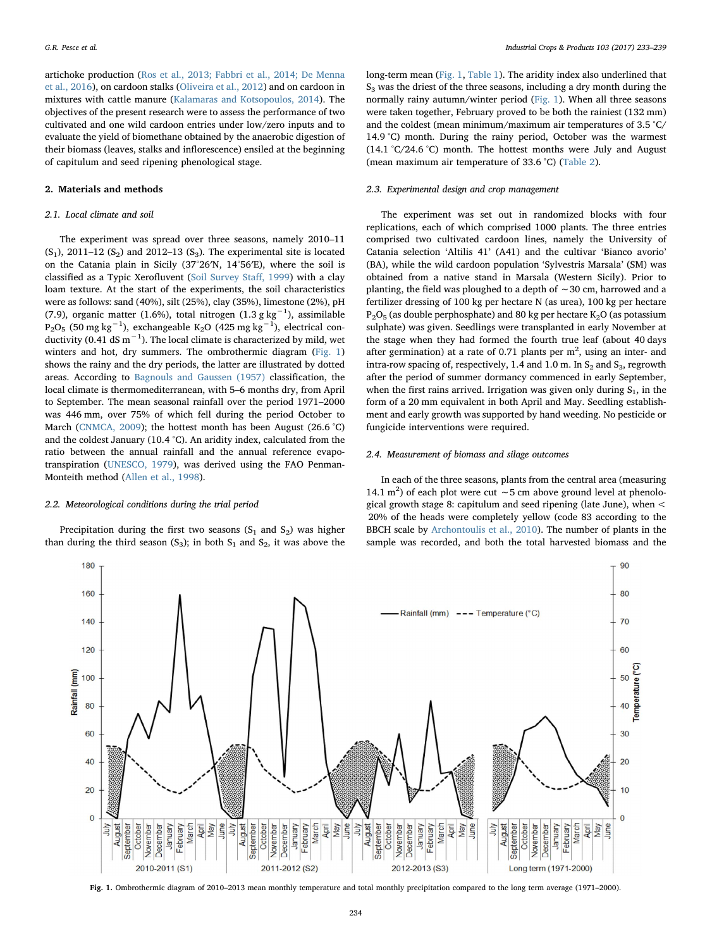artichoke production [\(Ros et al., 2013; Fabbri et al., 2014; De Menna](#page-6-6) [et al., 2016](#page-6-6)), on cardoon stalks [\(Oliveira et al., 2012](#page-6-7)) and on cardoon in mixtures with cattle manure [\(Kalamaras and Kotsopoulos, 2014](#page-6-8)). The objectives of the present research were to assess the performance of two cultivated and one wild cardoon entries under low/zero inputs and to evaluate the yield of biomethane obtained by the anaerobic digestion of their biomass (leaves, stalks and inflorescence) ensiled at the beginning of capitulum and seed ripening phenological stage.

## 2. Materials and methods

## 2.1. Local climate and soil

The experiment was spread over three seasons, namely 2010–11  $(S_1)$ , 2011–12  $(S_2)$  and 2012–13  $(S_3)$ . The experimental site is located on the Catania plain in Sicily (37°26′N, 14°56′E), where the soil is classified as a Typic Xerofluvent ([Soil Survey Sta](#page-6-9)ff, 1999) with a clay loam texture. At the start of the experiments, the soil characteristics were as follows: sand (40%), silt (25%), clay (35%), limestone (2%), pH (7.9), organic matter (1.6%), total nitrogen (1.3 g kg<sup>-1</sup>), assimilable  $P_2O_5$  (50 mg kg<sup>-1</sup>), exchangeable K<sub>2</sub>O (425 mg kg<sup>-1</sup>), electrical conductivity (0.41 dS m<sup>-1</sup>). The local climate is characterized by mild, wet winters and hot, dry summers. The ombrothermic diagram ([Fig. 1\)](#page-1-0) shows the rainy and the dry periods, the latter are illustrated by dotted areas. According to [Bagnouls and Gaussen \(1957\)](#page-5-7) classification, the local climate is thermomediterranean, with 5–6 months dry, from April to September. The mean seasonal rainfall over the period 1971–2000 was 446 mm, over 75% of which fell during the period October to March [\(CNMCA, 2009\)](#page-5-8); the hottest month has been August (26.6 °C) and the coldest January (10.4 °C). An aridity index, calculated from the ratio between the annual rainfall and the annual reference evapotranspiration ([UNESCO, 1979\)](#page-6-10), was derived using the FAO Penman-Monteith method ([Allen et al., 1998\)](#page-5-9).

#### 2.2. Meteorological conditions during the trial period

Precipitation during the first two seasons  $(S_1 \text{ and } S_2)$  was higher than during the third season (S<sub>3</sub>); in both  $S_1$  and  $S_2$ , it was above the long-term mean [\(Fig. 1](#page-1-0), [Table 1\)](#page-2-0). The aridity index also underlined that S3 was the driest of the three seasons, including a dry month during the normally rainy autumn/winter period [\(Fig. 1\)](#page-1-0). When all three seasons were taken together, February proved to be both the rainiest (132 mm) and the coldest (mean minimum/maximum air temperatures of 3.5 °C/ 14.9 °C) month. During the rainy period, October was the warmest  $(14.1 \degree C/24.6 \degree C)$  month. The hottest months were July and August (mean maximum air temperature of 33.6 °C) [\(Table 2\)](#page-2-1).

## 2.3. Experimental design and crop management

The experiment was set out in randomized blocks with four replications, each of which comprised 1000 plants. The three entries comprised two cultivated cardoon lines, namely the University of Catania selection 'Altilis 41' (A41) and the cultivar 'Bianco avorio' (BA), while the wild cardoon population 'Sylvestris Marsala' (SM) was obtained from a native stand in Marsala (Western Sicily). Prior to planting, the field was ploughed to a depth of ∼30 cm, harrowed and a fertilizer dressing of 100 kg per hectare N (as urea), 100 kg per hectare  $P_2O_5$  (as double perphosphate) and 80 kg per hectare K<sub>2</sub>O (as potassium sulphate) was given. Seedlings were transplanted in early November at the stage when they had formed the fourth true leaf (about 40 days after germination) at a rate of 0.71 plants per  $m<sup>2</sup>$ , using an inter- and intra-row spacing of, respectively, 1.4 and 1.0 m. In  $S_2$  and  $S_3$ , regrowth after the period of summer dormancy commenced in early September, when the first rains arrived. Irrigation was given only during  $S_1$ , in the form of a 20 mm equivalent in both April and May. Seedling establishment and early growth was supported by hand weeding. No pesticide or fungicide interventions were required.

### 2.4. Measurement of biomass and silage outcomes

In each of the three seasons, plants from the central area (measuring 14.1 m<sup>2</sup>) of each plot were cut ~5 cm above ground level at phenological growth stage 8: capitulum and seed ripening (late June), when < 20% of the heads were completely yellow (code 83 according to the BBCH scale by [Archontoulis et al., 2010\)](#page-5-10). The number of plants in the sample was recorded, and both the total harvested biomass and the

<span id="page-1-0"></span>

Fig. 1. Ombrothermic diagram of 2010–2013 mean monthly temperature and total monthly precipitation compared to the long term average (1971–2000).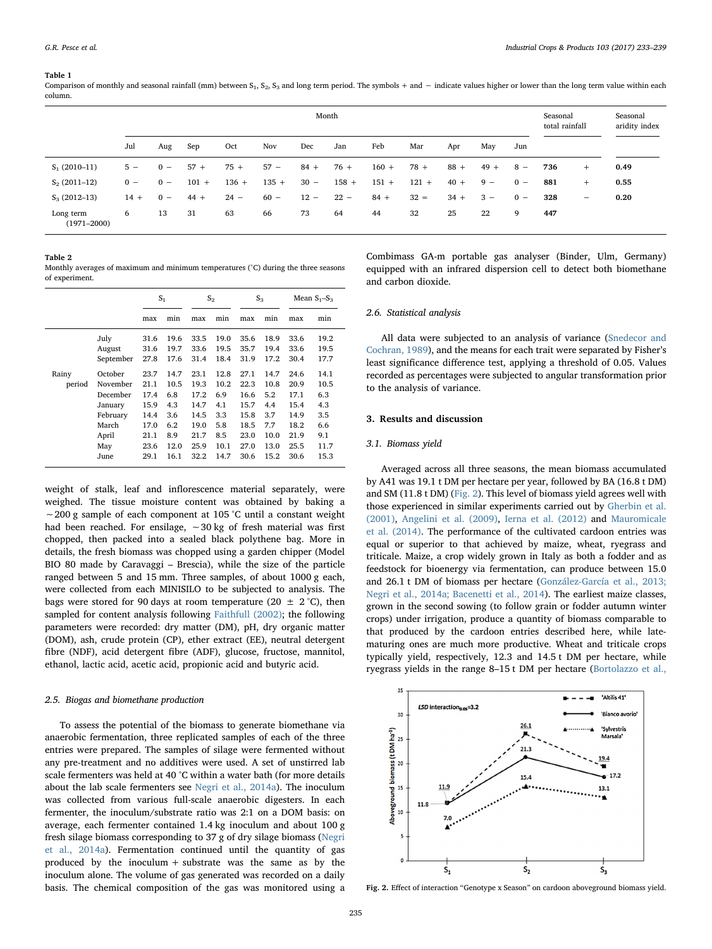#### <span id="page-2-0"></span>Table 1

Comparison of monthly and seasonal rainfall (mm) between  $S_1$ ,  $S_2$ ,  $S_3$  and long term period. The symbols + and  $-$  indicate values higher or lower than the long term value within each column.

|                              | Month  |       |         |         |         |        |         |         |         |        | Seasonal<br>total rainfall |       | Seasonal<br>aridity index |     |      |
|------------------------------|--------|-------|---------|---------|---------|--------|---------|---------|---------|--------|----------------------------|-------|---------------------------|-----|------|
|                              | Jul    | Aug   | Sep     | Oct     | Nov     | Dec    | Jan     | Feb     | Mar     | Apr    | May                        | Jun   |                           |     |      |
| $S_1(2010-11)$               | $5 -$  | $0 -$ | $57 +$  | $75 +$  | $57 -$  | $84 +$ | $76+$   | $160 +$ | $78 +$  | $88 +$ | $49 +$                     | $8 -$ | 736                       | $+$ | 0.49 |
| $S_2(2011-12)$               | $0 -$  | $0 -$ | $101 +$ | $136 +$ | $135 +$ | $30 -$ | $158 +$ | $151 +$ | $121 +$ | $40 +$ | $9 -$                      | $0 -$ | 881                       | $+$ | 0.55 |
| $S_3(2012-13)$               | $14 +$ | $0 -$ | $44 +$  | $24 -$  | $60 -$  | $12 -$ | $22 -$  | $84 +$  | $32 =$  | $34 +$ | $3 -$                      | $0 -$ | 328                       | -   | 0.20 |
| Long term<br>$(1971 - 2000)$ | 6      | 13    | 31      | 63      | 66      | 73     | 64      | 44      | 32      | 25     | 22                         | 9     | 447                       |     |      |

<span id="page-2-1"></span>Table 2

Monthly averages of maximum and minimum temperatures (°C) during the three seasons of experiment.

|        |           | S <sub>1</sub> |      | $S_{2}$ |      | $S_3$ |      | Mean $S_1-S_3$ |      |
|--------|-----------|----------------|------|---------|------|-------|------|----------------|------|
|        |           | max            | min  | max     | min  | max   | min  | max            | min  |
|        | July      | 31.6           | 19.6 | 33.5    | 19.0 | 35.6  | 18.9 | 33.6           | 19.2 |
|        | August    | 31.6           | 19.7 | 33.6    | 19.5 | 35.7  | 19.4 | 33.6           | 19.5 |
|        | September | 27.8           | 17.6 | 31.4    | 18.4 | 31.9  | 17.2 | 30.4           | 17.7 |
| Rainy  | October   | 23.7           | 14.7 | 23.1    | 12.8 | 27.1  | 14.7 | 24.6           | 14.1 |
| period | November  | 21.1           | 10.5 | 19.3    | 10.2 | 22.3  | 10.8 | 20.9           | 10.5 |
|        | December  | 17.4           | 6.8  | 17.2    | 6.9  | 16.6  | 5.2  | 17.1           | 6.3  |
|        | January   | 15.9           | 4.3  | 14.7    | 4.1  | 15.7  | 4.4  | 15.4           | 4.3  |
|        | February  | 14.4           | 3.6  | 14.5    | 3.3  | 15.8  | 3.7  | 14.9           | 3.5  |
|        | March     | 17.0           | 6.2  | 19.0    | 5.8  | 18.5  | 7.7  | 18.2           | 6.6  |
|        | April     | 21.1           | 8.9  | 21.7    | 8.5  | 23.0  | 10.0 | 21.9           | 9.1  |
|        | May       | 23.6           | 12.0 | 25.9    | 10.1 | 27.0  | 13.0 | 25.5           | 11.7 |
|        | June      | 29.1           | 16.1 | 32.2    | 14.7 | 30.6  | 15.2 | 30.6           | 15.3 |

weight of stalk, leaf and inflorescence material separately, were weighed. The tissue moisture content was obtained by baking a ∼200 g sample of each component at 105 °C until a constant weight had been reached. For ensilage, ∼30 kg of fresh material was first chopped, then packed into a sealed black polythene bag. More in details, the fresh biomass was chopped using a garden chipper (Model BIO 80 made by Caravaggi – Brescia), while the size of the particle ranged between 5 and 15 mm. Three samples, of about 1000 g each, were collected from each MINISILO to be subjected to analysis. The bags were stored for 90 days at room temperature (20  $\pm$  2 °C), then sampled for content analysis following [Faithfull \(2002\)](#page-5-11); the following parameters were recorded: dry matter (DM), pH, dry organic matter (DOM), ash, crude protein (CP), ether extract (EE), neutral detergent fibre (NDF), acid detergent fibre (ADF), glucose, fructose, mannitol, ethanol, lactic acid, acetic acid, propionic acid and butyric acid.

## 2.5. Biogas and biomethane production

To assess the potential of the biomass to generate biomethane via anaerobic fermentation, three replicated samples of each of the three entries were prepared. The samples of silage were fermented without any pre-treatment and no additives were used. A set of unstirred lab scale fermenters was held at 40 °C within a water bath (for more details about the lab scale fermenters see [Negri et al., 2014a](#page-6-11)). The inoculum was collected from various full-scale anaerobic digesters. In each fermenter, the inoculum/substrate ratio was 2:1 on a DOM basis: on average, each fermenter contained 1.4 kg inoculum and about 100 g fresh silage biomass corresponding to 37 g of dry silage biomass [\(Negri](#page-6-11) [et al., 2014a\)](#page-6-11). Fermentation continued until the quantity of gas produced by the inoculum + substrate was the same as by the inoculum alone. The volume of gas generated was recorded on a daily basis. The chemical composition of the gas was monitored using a

Combimass GA-m portable gas analyser (Binder, Ulm, Germany) equipped with an infrared dispersion cell to detect both biomethane and carbon dioxide.

### 2.6. Statistical analysis

All data were subjected to an analysis of variance [\(Snedecor and](#page-6-12) [Cochran, 1989](#page-6-12)), and the means for each trait were separated by Fisher's least significance difference test, applying a threshold of 0.05. Values recorded as percentages were subjected to angular transformation prior to the analysis of variance.

# 3. Results and discussion

## 3.1. Biomass yield

Averaged across all three seasons, the mean biomass accumulated by A41 was 19.1 t DM per hectare per year, followed by BA (16.8 t DM) and SM (11.8 t DM) [\(Fig. 2\)](#page-2-2). This level of biomass yield agrees well with those experienced in similar experiments carried out by [Gherbin et al.](#page-5-12) [\(2001\),](#page-5-12) [Angelini et al. \(2009\)](#page-5-13), [Ierna et al. \(2012\)](#page-6-13) and [Mauromicale](#page-6-3) [et al. \(2014\)](#page-6-3). The performance of the cultivated cardoon entries was equal or superior to that achieved by maize, wheat, ryegrass and triticale. Maize, a crop widely grown in Italy as both a fodder and as feedstock for bioenergy via fermentation, can produce between 15.0 and 26.1 t DM of biomass per hectare [\(González-García et al., 2013;](#page-6-14) [Negri et al., 2014a; Bacenetti et al., 2014\)](#page-6-14). The earliest maize classes, grown in the second sowing (to follow grain or fodder autumn winter crops) under irrigation, produce a quantity of biomass comparable to that produced by the cardoon entries described here, while latematuring ones are much more productive. Wheat and triticale crops typically yield, respectively, 12.3 and 14.5 t DM per hectare, while ryegrass yields in the range 8–15 t DM per hectare ([Bortolazzo et al.,](#page-5-14)

<span id="page-2-2"></span>

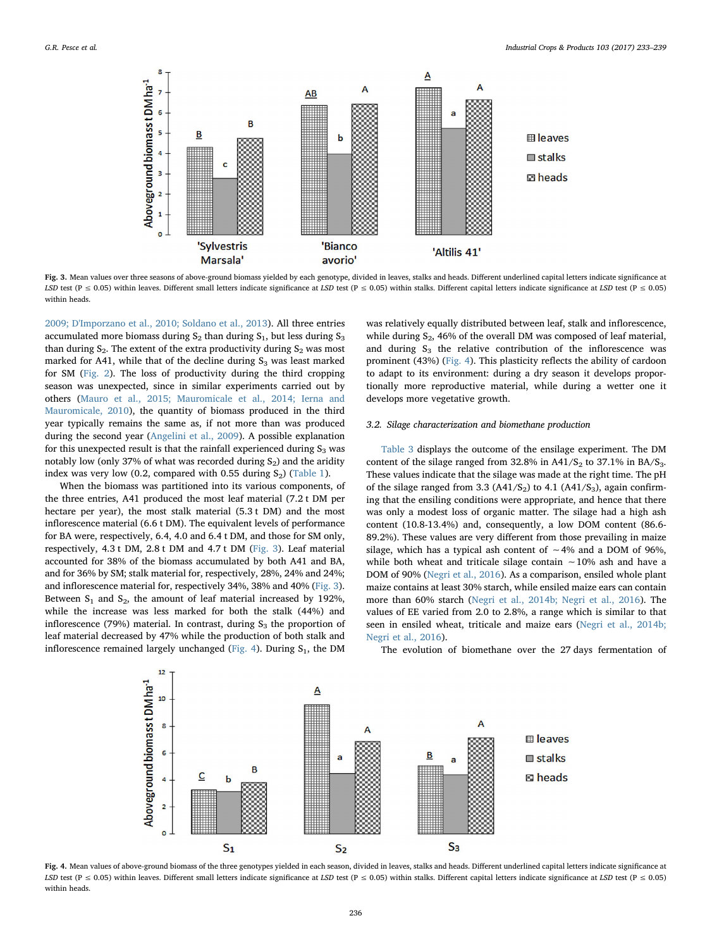<span id="page-3-0"></span>

Fig. 3. Mean values over three seasons of above-ground biomass yielded by each genotype, divided in leaves, stalks and heads. Different underlined capital letters indicate significance at LSD test (P ≤ 0.05) within leaves. Different small letters indicate significance at LSD test (P ≤ 0.05) within stalks. Different capital letters indicate significance at LSD test (P ≤ 0.05) within heads.

[2009; D'Imporzano et al., 2010; Soldano et al., 2013\)](#page-5-14). All three entries accumulated more biomass during  $S_2$  than during  $S_1$ , but less during  $S_3$ than during  $S_2$ . The extent of the extra productivity during  $S_2$  was most marked for A41, while that of the decline during  $S_3$  was least marked for SM ([Fig. 2\)](#page-2-2). The loss of productivity during the third cropping season was unexpected, since in similar experiments carried out by others [\(Mauro et al., 2015; Mauromicale et al., 2014; Ierna and](#page-6-15) [Mauromicale, 2010\)](#page-6-15), the quantity of biomass produced in the third year typically remains the same as, if not more than was produced during the second year [\(Angelini et al., 2009\)](#page-5-13). A possible explanation for this unexpected result is that the rainfall experienced during  $S_3$  was notably low (only 37% of what was recorded during  $S_2$ ) and the aridity index was very low (0.2, compared with 0.55 during  $S_2$ ) [\(Table 1\)](#page-2-0).

When the biomass was partitioned into its various components, of the three entries, A41 produced the most leaf material (7.2 t DM per hectare per year), the most stalk material (5.3 t DM) and the most inflorescence material (6.6 t DM). The equivalent levels of performance for BA were, respectively, 6.4, 4.0 and 6.4 t DM, and those for SM only, respectively, 4.3 t DM, 2.8 t DM and 4.7 t DM ([Fig. 3\)](#page-3-0). Leaf material accounted for 38% of the biomass accumulated by both A41 and BA, and for 36% by SM; stalk material for, respectively, 28%, 24% and 24%; and inflorescence material for, respectively 34%, 38% and 40% ([Fig. 3](#page-3-0)). Between  $S_1$  and  $S_2$ , the amount of leaf material increased by 192%, while the increase was less marked for both the stalk (44%) and inflorescence (79%) material. In contrast, during  $S_3$  the proportion of leaf material decreased by 47% while the production of both stalk and inflorescence remained largely unchanged ([Fig. 4](#page-3-1)). During  $S_1$ , the DM

 $12$ 

was relatively equally distributed between leaf, stalk and inflorescence, while during  $S_2$ , 46% of the overall DM was composed of leaf material, and during  $S_3$  the relative contribution of the inflorescence was prominent (43%) [\(Fig. 4](#page-3-1)). This plasticity reflects the ability of cardoon to adapt to its environment: during a dry season it develops proportionally more reproductive material, while during a wetter one it develops more vegetative growth.

## 3.2. Silage characterization and biomethane production

[Table 3](#page-4-0) displays the outcome of the ensilage experiment. The DM content of the silage ranged from  $32.8\%$  in A41/S<sub>2</sub> to  $37.1\%$  in BA/S<sub>3</sub>. These values indicate that the silage was made at the right time. The pH of the silage ranged from 3.3 (A41/S<sub>2</sub>) to 4.1 (A41/S<sub>3</sub>), again confirming that the ensiling conditions were appropriate, and hence that there was only a modest loss of organic matter. The silage had a high ash content (10.8-13.4%) and, consequently, a low DOM content (86.6- 89.2%). These values are very different from those prevailing in maize silage, which has a typical ash content of ∼4% and a DOM of 96%, while both wheat and triticale silage contain ∼10% ash and have a DOM of 90% [\(Negri et al., 2016\)](#page-6-16). As a comparison, ensiled whole plant maize contains at least 30% starch, while ensiled maize ears can contain more than 60% starch ([Negri et al., 2014b; Negri et al., 2016\)](#page-6-17). The values of EE varied from 2.0 to 2.8%, a range which is similar to that seen in ensiled wheat, triticale and maize ears [\(Negri et al., 2014b;](#page-6-17) [Negri et al., 2016](#page-6-17)).

<span id="page-3-1"></span>Aboveground biomasst DM ha<sup>-1</sup>  $\overline{\mathsf{A}}$ 10  $\overline{\mathbf{a}}$ Δ **⊞** leaves 6 B stalks C  $\overline{4}$  $\square$  heads  $\overline{2}$  $\overline{0}$  $S<sub>3</sub>$  $S_{1}$  $S<sub>2</sub>$ 

The evolution of biomethane over the 27 days fermentation of

Fig. 4. Mean values of above-ground biomass of the three genotypes yielded in each season, divided in leaves, stalks and heads. Different underlined capital letters indicate significance at LSD test (P  $\leq$  0.05) within leaves. Different small letters indicate significance at LSD test (P  $\leq$  0.05) within stalks. Different capital letters indicate significance at LSD test (P  $\leq$  0.05) within heads.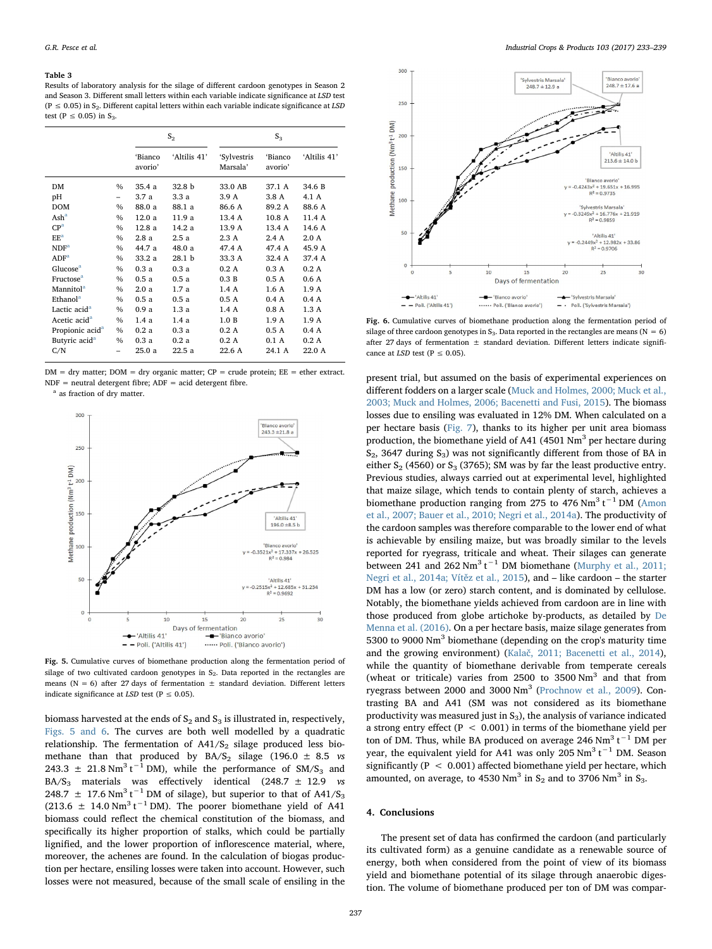#### <span id="page-4-0"></span>Table 3

Results of laboratory analysis for the silage of different cardoon genotypes in Season 2 and Season 3. Different small letters within each variable indicate significance at LSD test (P  $\leq$  0.05) in S<sub>2</sub>. Different capital letters within each variable indicate significance at LSD test (P  $\leq$  0.05) in S<sub>3</sub>

|                             |      |                    | $S_{2}$           | $S_3$                   |                    |              |  |  |
|-----------------------------|------|--------------------|-------------------|-------------------------|--------------------|--------------|--|--|
|                             |      | 'Bianco<br>avorio' | 'Altilis 41'      | 'Sylvestris<br>Marsala' | 'Bianco<br>avorio' | 'Altilis 41' |  |  |
| DM                          | $\%$ | 35.4a              | 32.8 b            | 33.0 AB                 | 37.1 A             | 34.6 B       |  |  |
| pН                          | -    | 3.7 a              | 3.3 a             | 3.9 A                   | 3.8 A              | 4.1 A        |  |  |
| <b>DOM</b>                  | $\%$ | 88.0 a             | 88.1 a            | 86.6 A                  | 89.2 A             | 88.6 A       |  |  |
| $\text{Ash}^a$              | $\%$ | 12.0a              | 11.9 a            | 13.4 A                  | 10.8A              | 11.4 A       |  |  |
| CP <sup>a</sup>             | $\%$ | 12.8a              | 14.2 a            | 13.9 A                  | 13.4 A             | 14.6 A       |  |  |
| EE <sup>a</sup>             | $\%$ | 2.8a               | 2.5a              | 2.3 A                   | 2.4A               | 2.0A         |  |  |
| NDF <sup>a</sup>            | $\%$ | 44.7 a             | 48.0 a            | 47.4 A                  | 47.4 A             | 45.9 A       |  |  |
| ADF <sup>a</sup>            | $\%$ | 33.2a              | 28.1 <sub>b</sub> | 33.3 A                  | 32.4 A             | 37.4 A       |  |  |
| Glucose <sup>a</sup>        | $\%$ | 0.3a               | 0.3a              | 0.2A                    | 0.3A               | 0.2A         |  |  |
| Fructose <sup>a</sup>       | $\%$ | 0.5a               | 0.5a              | 0.3 B                   | 0.5A               | 0.6A         |  |  |
| Mannitol <sup>a</sup>       | $\%$ | 2.0a               | 1.7a              | 1.4A                    | 1.6A               | 1.9A         |  |  |
| Ethanol <sup>a</sup>        | $\%$ | 0.5a               | 0.5a              | 0.5A                    | 0.4A               | 0.4A         |  |  |
| Lactic acid <sup>a</sup>    | $\%$ | 0.9a               | 1.3a              | 1.4 A                   | 0.8A               | 1.3 A        |  |  |
| Acetic acid <sup>a</sup>    | $\%$ | 1.4a               | 1.4a              | 1.0 B                   | 1.9A               | 1.9A         |  |  |
| Propionic acid <sup>a</sup> | $\%$ | 0.2a               | 0.3a              | 0.2A                    | 0.5A               | 0.4A         |  |  |
| Butyric acid <sup>a</sup>   | $\%$ | 0.3a               | 0.2a              | 0.2A                    | 0.1A               | 0.2A         |  |  |
| C/N                         | -    | 25.0a              | 22.5a             | 22.6 A                  | 24.1 A             | 22.0 A       |  |  |

 $DM = dry$  matter;  $DOM = dry$  organic matter;  $CP = crude$  protein;  $EE = ether$  extract.  $NDF$  = neutral detergent fibre;  $ADF$  = acid detergent fibre.

<span id="page-4-2"></span><sup>a</sup> as fraction of dry matter.

<span id="page-4-1"></span>

Fig. 5. Cumulative curves of biomethane production along the fermentation period of silage of two cultivated cardoon genotypes in  $S_2$ . Data reported in the rectangles are means ( $N = 6$ ) after 27 days of fermentation  $\pm$  standard deviation. Different letters indicate significance at LSD test  $(P \le 0.05)$ .

biomass harvested at the ends of  $S_2$  and  $S_3$  is illustrated in, respectively, [Figs. 5 and 6](#page-4-1). The curves are both well modelled by a quadratic relationship. The fermentation of  $A41/S_2$  silage produced less biomethane than that produced by  $BA/S_2$  silage (196.0  $\pm$  8.5 *vs* 243.3  $\pm$  21.8 Nm<sup>3</sup> t<sup>-1</sup> DM), while the performance of SM/S<sub>3</sub> and BA/S<sub>3</sub> materials was effectively identical (248.7  $\pm$  12.9 *vs* 248.7  $\pm$  17.6 Nm<sup>3</sup> t<sup>-1</sup> DM of silage), but superior to that of A41/S<sub>3</sub>  $(213.6 \pm 14.0 \text{ Nm}^3 \text{ t}^{-1} \text{ DM})$ . The poorer biomethane yield of A41 biomass could reflect the chemical constitution of the biomass, and specifically its higher proportion of stalks, which could be partially lignified, and the lower proportion of inflorescence material, where, moreover, the achenes are found. In the calculation of biogas production per hectare, ensiling losses were taken into account. However, such losses were not measured, because of the small scale of ensiling in the



Fig. 6. Cumulative curves of biomethane production along the fermentation period of silage of three cardoon genotypes in  $S_3$ . Data reported in the rectangles are means (N = 6) after 27 days of fermentation  $+$  standard deviation. Different letters indicate significance at LSD test ( $P \le 0.05$ ).

present trial, but assumed on the basis of experimental experiences on different fodders on a larger scale [\(Muck and Holmes, 2000; Muck et al.,](#page-6-18) [2003; Muck and Holmes, 2006; Bacenetti and Fusi, 2015](#page-6-18)). The biomass losses due to ensiling was evaluated in 12% DM. When calculated on a per hectare basis [\(Fig. 7](#page-5-15)), thanks to its higher per unit area biomass production, the biomethane yield of A41 (4501  $\text{Nm}^3$  per hectare during  $S_2$ , 3647 during  $S_3$ ) was not significantly different from those of BA in either  $S_2$  (4560) or  $S_3$  (3765); SM was by far the least productive entry. Previous studies, always carried out at experimental level, highlighted that maize silage, which tends to contain plenty of starch, achieves a biomethane production ranging from 275 to 476 Nm<sup>3</sup> t<sup>-1</sup> DM ([Amon](#page-5-16) [et al., 2007; Bauer et al., 2010; Negri et al., 2014a\)](#page-5-16). The productivity of the cardoon samples was therefore comparable to the lower end of what is achievable by ensiling maize, but was broadly similar to the levels reported for ryegrass, triticale and wheat. Their silages can generate between 241 and 262 Nm<sup>3</sup> t<sup>-1</sup> DM biomethane [\(Murphy et al., 2011;](#page-6-19) [Negri et al., 2014a; Vít](#page-6-19)ěz et al., 2015), and – like cardoon – the starter DM has a low (or zero) starch content, and is dominated by cellulose. Notably, the biomethane yields achieved from cardoon are in line with those produced from globe artichoke by-products, as detailed by [De](#page-5-17) [Menna et al. \(2016\).](#page-5-17) On a per hectare basis, maize silage generates from 5300 to 9000 Nm<sup>3</sup> biomethane (depending on the crop's maturity time and the growing environment) (Kalač[, 2011; Bacenetti et al., 2014](#page-6-20)), while the quantity of biomethane derivable from temperate cereals (wheat or triticale) varies from  $2500$  to  $3500$  Nm<sup>3</sup> and that from ryegrass between 2000 and 3000 Nm<sup>3</sup> ([Prochnow et al., 2009\)](#page-6-21). Contrasting BA and A41 (SM was not considered as its biomethane productivity was measured just in  $S_3$ ), the analysis of variance indicated a strong entry effect ( $P < 0.001$ ) in terms of the biomethane yield per ton of DM. Thus, while BA produced on average 246 Nm<sup>3</sup> t<sup>-1</sup> DM per year, the equivalent yield for A41 was only 205  $Nm^3$  t<sup>-1</sup> DM. Season significantly ( $P < 0.001$ ) affected biomethane yield per hectare, which amounted, on average, to 4530 Nm<sup>3</sup> in  $S_2$  and to 3706 Nm<sup>3</sup> in  $S_3$ .

## 4. Conclusions

The present set of data has confirmed the cardoon (and particularly its cultivated form) as a genuine candidate as a renewable source of energy, both when considered from the point of view of its biomass yield and biomethane potential of its silage through anaerobic digestion. The volume of biomethane produced per ton of DM was compar-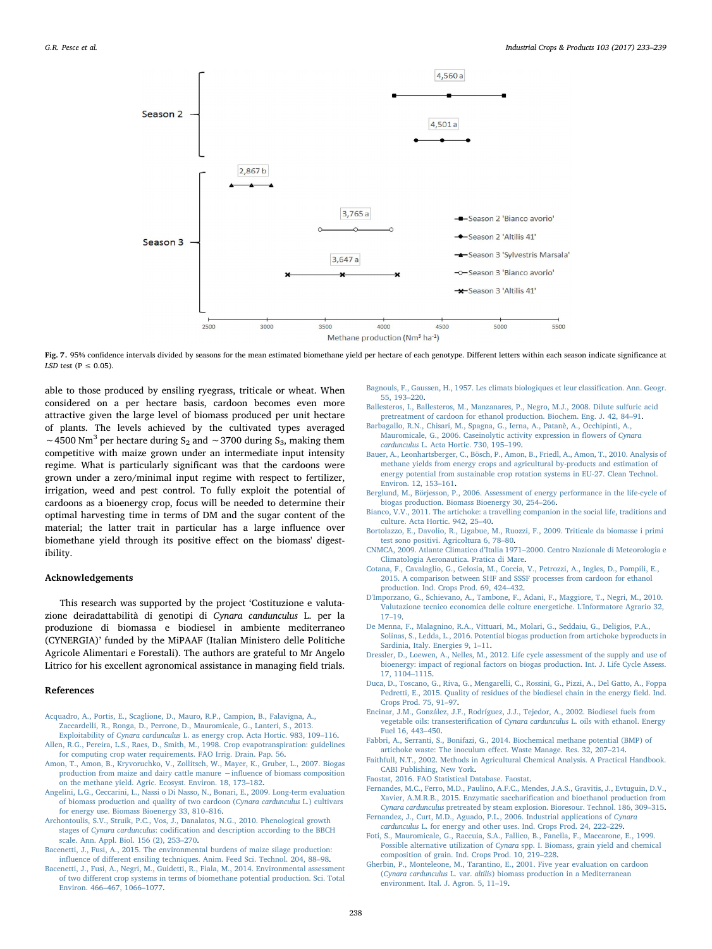<span id="page-5-15"></span>

Fig. 7. 95% confidence intervals divided by seasons for the mean estimated biomethane yield per hectare of each genotype. Different letters within each season indicate significance at LSD test ( $P \le 0.05$ ).

able to those produced by ensiling ryegrass, triticale or wheat. When considered on a per hectare basis, cardoon becomes even more attractive given the large level of biomass produced per unit hectare of plants. The levels achieved by the cultivated types averaged ~4500 Nm<sup>3</sup> per hectare during S<sub>2</sub> and ~3700 during S<sub>3</sub>, making them competitive with maize grown under an intermediate input intensity regime. What is particularly significant was that the cardoons were grown under a zero/minimal input regime with respect to fertilizer, irrigation, weed and pest control. To fully exploit the potential of cardoons as a bioenergy crop, focus will be needed to determine their optimal harvesting time in terms of DM and the sugar content of the material; the latter trait in particular has a large influence over biomethane yield through its positive effect on the biomass' digestibility.

## Acknowledgements

This research was supported by the project 'Costituzione e valutazione deiradattabilità di genotipi di Cynara candunculus L. per la produzione di biomassa e biodiesel in ambiente mediterraneo (CYNERGIA)' funded by the MiPAAF (Italian Ministero delle Politiche Agricole Alimentari e Forestali). The authors are grateful to Mr Angelo Litrico for his excellent agronomical assistance in managing field trials.

## References

- [Acquadro, A., Portis, E., Scaglione, D., Mauro, R.P., Campion, B., Falavigna, A.,](http://refhub.elsevier.com/S0926-6690(17)30219-4/sbref0005) [Zaccardelli, R., Ronga, D., Perrone, D., Mauromicale, G., Lanteri, S., 2013.](http://refhub.elsevier.com/S0926-6690(17)30219-4/sbref0005) Exploitability of Cynara cardunculus [L. as energy crop. Acta Hortic. 983, 109](http://refhub.elsevier.com/S0926-6690(17)30219-4/sbref0005)–116.
- <span id="page-5-9"></span>[Allen, R.G., Pereira, L.S., Raes, D., Smith, M., 1998. Crop evapotranspiration: guidelines](http://refhub.elsevier.com/S0926-6690(17)30219-4/sbref0010) [for computing crop water requirements. FAO Irrig. Drain. Pap. 56.](http://refhub.elsevier.com/S0926-6690(17)30219-4/sbref0010)
- <span id="page-5-16"></span>[Amon, T., Amon, B., Kryvoruchko, V., Zollitsch, W., Mayer, K., Gruber, L., 2007. Biogas](http://refhub.elsevier.com/S0926-6690(17)30219-4/sbref0015) [production from maize and dairy cattle manure](http://refhub.elsevier.com/S0926-6690(17)30219-4/sbref0015) −influence of biomass composition [on the methane yield. Agric. Ecosyst. Environ. 18, 173](http://refhub.elsevier.com/S0926-6690(17)30219-4/sbref0015)–182.
- <span id="page-5-13"></span>[Angelini, L.G., Ceccarini, L., Nassi o Di Nasso, N., Bonari, E., 2009. Long-term evaluation](http://refhub.elsevier.com/S0926-6690(17)30219-4/sbref0020) [of biomass production and quality of two cardoon \(](http://refhub.elsevier.com/S0926-6690(17)30219-4/sbref0020)Cynara cardunculus L.) cultivars [for energy use. Biomass Bioenergy 33, 810](http://refhub.elsevier.com/S0926-6690(17)30219-4/sbref0020)–816.
- <span id="page-5-10"></span>[Archontoulis, S.V., Struik, P.C., Vos, J., Danalatos, N.G., 2010. Phenological growth](http://refhub.elsevier.com/S0926-6690(17)30219-4/sbref0025) stages of Cynara cardunculus: codifi[cation and description according to the BBCH](http://refhub.elsevier.com/S0926-6690(17)30219-4/sbref0025) [scale. Ann. Appl. Biol. 156 \(2\), 253](http://refhub.elsevier.com/S0926-6690(17)30219-4/sbref0025)–270.
- [Bacenetti, J., Fusi, A., 2015. The environmental burdens of maize silage production:](http://refhub.elsevier.com/S0926-6690(17)30219-4/sbref0030) influence of diff[erent ensiling techniques. Anim. Feed Sci. Technol. 204, 88](http://refhub.elsevier.com/S0926-6690(17)30219-4/sbref0030)–98.
- [Bacenetti, J., Fusi, A., Negri, M., Guidetti, R., Fiala, M., 2014. Environmental assessment](http://refhub.elsevier.com/S0926-6690(17)30219-4/sbref0035) of two diff[erent crop systems in terms of biomethane potential production. Sci. Total](http://refhub.elsevier.com/S0926-6690(17)30219-4/sbref0035) [Environ. 466](http://refhub.elsevier.com/S0926-6690(17)30219-4/sbref0035)–467, 1066–1077.

<span id="page-5-7"></span>[Bagnouls, F., Gaussen, H., 1957. Les climats biologiques et leur classi](http://refhub.elsevier.com/S0926-6690(17)30219-4/sbref0040)fication. Ann. Geogr. [55, 193](http://refhub.elsevier.com/S0926-6690(17)30219-4/sbref0040)–220.

- [Ballesteros, I., Ballesteros, M., Manzanares, P., Negro, M.J., 2008. Dilute sulfuric acid](http://refhub.elsevier.com/S0926-6690(17)30219-4/sbref0045) [pretreatment of cardoon for ethanol production. Biochem. Eng. J. 42, 84](http://refhub.elsevier.com/S0926-6690(17)30219-4/sbref0045)–91.
- <span id="page-5-2"></span>[Barbagallo, R.N., Chisari, M., Spagna, G., Ierna, A., Patanè, A., Occhipinti, A.,](http://refhub.elsevier.com/S0926-6690(17)30219-4/sbref0050) [Mauromicale, G., 2006. Caseinolytic activity expression in](http://refhub.elsevier.com/S0926-6690(17)30219-4/sbref0050) flowers of Cynara cardunculus [L. Acta Hortic. 730, 195](http://refhub.elsevier.com/S0926-6690(17)30219-4/sbref0050)–199.
- [Bauer, A., Leonhartsberger, C., Bösch, P., Amon, B., Friedl, A., Amon, T., 2010. Analysis of](http://refhub.elsevier.com/S0926-6690(17)30219-4/sbref0055) [methane yields from energy crops and agricultural by-products and estimation of](http://refhub.elsevier.com/S0926-6690(17)30219-4/sbref0055) [energy potential from sustainable crop rotation systems in EU-27. Clean Technol.](http://refhub.elsevier.com/S0926-6690(17)30219-4/sbref0055) [Environ. 12, 153](http://refhub.elsevier.com/S0926-6690(17)30219-4/sbref0055)–161.
- <span id="page-5-5"></span>[Berglund, M., Börjesson, P., 2006. Assessment of energy performance in the life-cycle of](http://refhub.elsevier.com/S0926-6690(17)30219-4/sbref0060) [biogas production. Biomass Bioenergy 30, 254](http://refhub.elsevier.com/S0926-6690(17)30219-4/sbref0060)–266.
- [Bianco, V.V., 2011. The artichoke: a travelling companion in the social life, traditions and](http://refhub.elsevier.com/S0926-6690(17)30219-4/sbref0065) [culture. Acta Hortic. 942, 25](http://refhub.elsevier.com/S0926-6690(17)30219-4/sbref0065)–40.
- <span id="page-5-14"></span>[Bortolazzo, E., Davolio, R., Ligabue, M., Ruozzi, F., 2009. Triticale da biomasse i primi](http://refhub.elsevier.com/S0926-6690(17)30219-4/sbref0070) [test sono positivi. Agricoltura 6, 78](http://refhub.elsevier.com/S0926-6690(17)30219-4/sbref0070)–80.
- <span id="page-5-8"></span>CNMCA, 2009. Atlante Climatico d'Italia 1971–[2000. Centro Nazionale di Meteorologia e](http://refhub.elsevier.com/S0926-6690(17)30219-4/sbref0075) [Climatologia Aeronautica. Pratica di Mare.](http://refhub.elsevier.com/S0926-6690(17)30219-4/sbref0075)
- [Cotana, F., Cavalaglio, G., Gelosia, M., Coccia, V., Petrozzi, A., Ingles, D., Pompili, E.,](http://refhub.elsevier.com/S0926-6690(17)30219-4/sbref0080) [2015. A comparison between SHF and SSSF processes from cardoon for ethanol](http://refhub.elsevier.com/S0926-6690(17)30219-4/sbref0080) [production. Ind. Crops Prod. 69, 424](http://refhub.elsevier.com/S0926-6690(17)30219-4/sbref0080)–432.
- [D'Imporzano, G., Schievano, A., Tambone, F., Adani, F., Maggiore, T., Negri, M., 2010.](http://refhub.elsevier.com/S0926-6690(17)30219-4/sbref0085) [Valutazione tecnico economica delle colture energetiche. L'Informatore Agrario 32,](http://refhub.elsevier.com/S0926-6690(17)30219-4/sbref0085) 17–[19](http://refhub.elsevier.com/S0926-6690(17)30219-4/sbref0085).
- <span id="page-5-17"></span>[De Menna, F., Malagnino, R.A., Vittuari, M., Molari, G., Seddaiu, G., Deligios, P.A.,](http://refhub.elsevier.com/S0926-6690(17)30219-4/sbref0090) [Solinas, S., Ledda, L., 2016. Potential biogas production from artichoke byproducts in](http://refhub.elsevier.com/S0926-6690(17)30219-4/sbref0090) [Sardinia, Italy. Energies 9, 1](http://refhub.elsevier.com/S0926-6690(17)30219-4/sbref0090)–11.
- [Dressler, D., Loewen, A., Nelles, M., 2012. Life cycle assessment of the supply and use of](http://refhub.elsevier.com/S0926-6690(17)30219-4/sbref0095) [bioenergy: impact of regional factors on biogas production. Int. J. Life Cycle Assess.](http://refhub.elsevier.com/S0926-6690(17)30219-4/sbref0095) [17, 1104](http://refhub.elsevier.com/S0926-6690(17)30219-4/sbref0095)–1115.
- <span id="page-5-6"></span>[Duca, D., Toscano, G., Riva, G., Mengarelli, C., Rossini, G., Pizzi, A., Del Gatto, A., Foppa](http://refhub.elsevier.com/S0926-6690(17)30219-4/sbref0100) [Pedretti, E., 2015. Quality of residues of the biodiesel chain in the energy](http://refhub.elsevier.com/S0926-6690(17)30219-4/sbref0100) field. Ind. [Crops Prod. 75, 91](http://refhub.elsevier.com/S0926-6690(17)30219-4/sbref0100)–97.
- <span id="page-5-4"></span>[Encinar, J.M., González, J.F., Rodríguez, J.J., Tejedor, A., 2002. Biodiesel fuels from](http://refhub.elsevier.com/S0926-6690(17)30219-4/sbref0105) vegetable oils: transesterification of Cynara cardunculus [L. oils with ethanol. Energy](http://refhub.elsevier.com/S0926-6690(17)30219-4/sbref0105) [Fuel 16, 443](http://refhub.elsevier.com/S0926-6690(17)30219-4/sbref0105)–450.
- [Fabbri, A., Serranti, S., Bonifazi, G., 2014. Biochemical methane potential \(BMP\) of](http://refhub.elsevier.com/S0926-6690(17)30219-4/sbref0110) artichoke waste: The inoculum eff[ect. Waste Manage. Res. 32, 207](http://refhub.elsevier.com/S0926-6690(17)30219-4/sbref0110)–214.
- <span id="page-5-11"></span>[Faithfull, N.T., 2002. Methods in Agricultural Chemical Analysis. A Practical Handbook.](http://refhub.elsevier.com/S0926-6690(17)30219-4/sbref0115) [CABI Publishing, New York.](http://refhub.elsevier.com/S0926-6690(17)30219-4/sbref0115)

<span id="page-5-1"></span>[Faostat, 2016. FAO Statistical Database. Faostat.](http://refhub.elsevier.com/S0926-6690(17)30219-4/sbref0120)

- [Fernandes, M.C., Ferro, M.D., Paulino, A.F.C., Mendes, J.A.S., Gravitis, J., Evtuguin, D.V.,](http://refhub.elsevier.com/S0926-6690(17)30219-4/sbref0125) [Xavier, A.M.R.B., 2015. Enzymatic sacchari](http://refhub.elsevier.com/S0926-6690(17)30219-4/sbref0125)fication and bioethanol production from Cynara cardunculus [pretreated by steam explosion. Bioresour. Technol. 186, 309](http://refhub.elsevier.com/S0926-6690(17)30219-4/sbref0125)–315. [Fernandez, J., Curt, M.D., Aguado, P.L., 2006. Industrial applications of](http://refhub.elsevier.com/S0926-6690(17)30219-4/sbref0130) Cynara
- <span id="page-5-0"></span>cardunculus [L. for energy and other uses. Ind. Crops Prod. 24, 222](http://refhub.elsevier.com/S0926-6690(17)30219-4/sbref0130)–229.
- <span id="page-5-3"></span>[Foti, S., Mauromicale, G., Raccuia, S.A., Fallico, B., Fanella, F., Maccarone, E., 1999.](http://refhub.elsevier.com/S0926-6690(17)30219-4/sbref0135) Possible alternative utilization of Cynara [spp. I. Biomass, grain yield and chemical](http://refhub.elsevier.com/S0926-6690(17)30219-4/sbref0135) [composition of grain. Ind. Crops Prod. 10, 219](http://refhub.elsevier.com/S0926-6690(17)30219-4/sbref0135)–228.
- <span id="page-5-12"></span>[Gherbin, P., Monteleone, M., Tarantino, E., 2001. Five year evaluation on cardoon](http://refhub.elsevier.com/S0926-6690(17)30219-4/sbref0140) (Cynara cardunculus L. var. altilis[\) biomass production in a Mediterranean](http://refhub.elsevier.com/S0926-6690(17)30219-4/sbref0140) [environment. Ital. J. Agron. 5, 11](http://refhub.elsevier.com/S0926-6690(17)30219-4/sbref0140)–19.